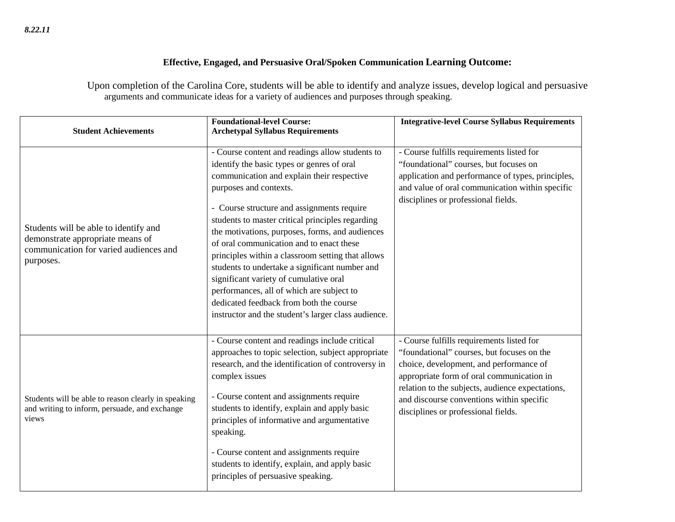## **Effective, Engaged, and Persuasive Oral/Spoken Communication Learning Outcome:**

Upon completion of the Carolina Core, students will be able to identify and analyze issues, develop logical and persuasive arguments and communicate ideas for a variety of audiences and purposes through speaking.

| <b>Student Achievements</b>                                                                                                      | <b>Foundational-level Course:</b><br><b>Archetypal Syllabus Requirements</b>                                                                                                                                                                                                                                                                                                                                                                                                                                                                                                                                                                                           | <b>Integrative-level Course Syllabus Requirements</b>                                                                                                                                                                                                                                                                   |
|----------------------------------------------------------------------------------------------------------------------------------|------------------------------------------------------------------------------------------------------------------------------------------------------------------------------------------------------------------------------------------------------------------------------------------------------------------------------------------------------------------------------------------------------------------------------------------------------------------------------------------------------------------------------------------------------------------------------------------------------------------------------------------------------------------------|-------------------------------------------------------------------------------------------------------------------------------------------------------------------------------------------------------------------------------------------------------------------------------------------------------------------------|
| Students will be able to identify and<br>demonstrate appropriate means of<br>communication for varied audiences and<br>purposes. | - Course content and readings allow students to<br>identify the basic types or genres of oral<br>communication and explain their respective<br>purposes and contexts.<br>- Course structure and assignments require<br>students to master critical principles regarding<br>the motivations, purposes, forms, and audiences<br>of oral communication and to enact these<br>principles within a classroom setting that allows<br>students to undertake a significant number and<br>significant variety of cumulative oral<br>performances, all of which are subject to<br>dedicated feedback from both the course<br>instructor and the student's larger class audience. | - Course fulfills requirements listed for<br>"foundational" courses, but focuses on<br>application and performance of types, principles,<br>and value of oral communication within specific<br>disciplines or professional fields.                                                                                      |
| Students will be able to reason clearly in speaking<br>and writing to inform, persuade, and exchange<br>views                    | - Course content and readings include critical<br>approaches to topic selection, subject appropriate<br>research, and the identification of controversy in<br>complex issues<br>- Course content and assignments require<br>students to identify, explain and apply basic<br>principles of informative and argumentative<br>speaking.<br>- Course content and assignments require<br>students to identify, explain, and apply basic<br>principles of persuasive speaking.                                                                                                                                                                                              | - Course fulfills requirements listed for<br>"foundational" courses, but focuses on the<br>choice, development, and performance of<br>appropriate form of oral communication in<br>relation to the subjects, audience expectations,<br>and discourse conventions within specific<br>disciplines or professional fields. |